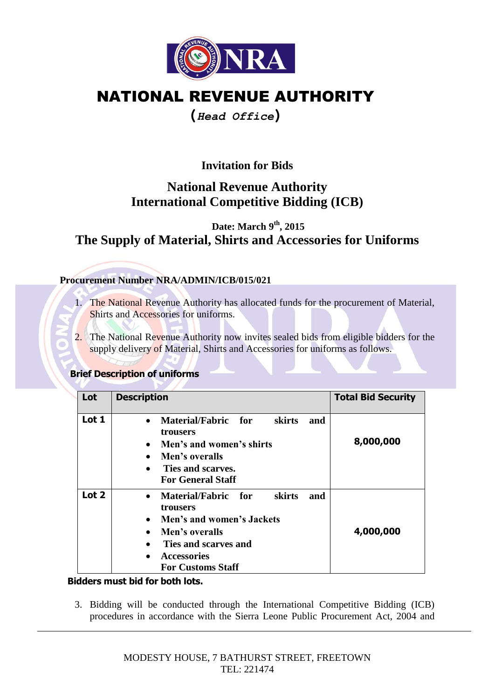

## NATIONAL REVENUE AUTHORITY

## **(***Head Office***)**

**Invitation for Bids**

## **National Revenue Authority International Competitive Bidding (ICB)**

 **Date: March 9th, 2015 The Supply of Material, Shirts and Accessories for Uniforms**

#### **Procurement Number NRA/ADMIN/ICB/015/021**

- 1. The National Revenue Authority has allocated funds for the procurement of Material, Shirts and Accessories for uniforms.
- 2. The National Revenue Authority now invites sealed bids from eligible bidders for the supply delivery of Material, Shirts and Accessories for uniforms as follows.

#### **Brief Description of uniforms**

| Lot   | <b>Description</b>                                                                                                                                                                                  | <b>Total Bid Security</b> |
|-------|-----------------------------------------------------------------------------------------------------------------------------------------------------------------------------------------------------|---------------------------|
| Lot 1 | Material/Fabric for<br>skirts<br>and<br>$\bullet$<br>trousers<br>Men's and women's shirts<br>$\bullet$<br>Men's overalls<br>Ties and scarves.<br>$\bullet$<br><b>For General Staff</b>              | 8,000,000                 |
| Lot 2 | Material/Fabric for<br>skirts<br>and<br>$\bullet$<br>trousers<br>Men's and women's Jackets<br>Men's overalls<br>$\bullet$<br>Ties and scarves and<br><b>Accessories</b><br><b>For Customs Staff</b> | 4,000,000                 |

#### **Bidders must bid for both lots.**

3. Bidding will be conducted through the International Competitive Bidding (ICB) procedures in accordance with the Sierra Leone Public Procurement Act, 2004 and